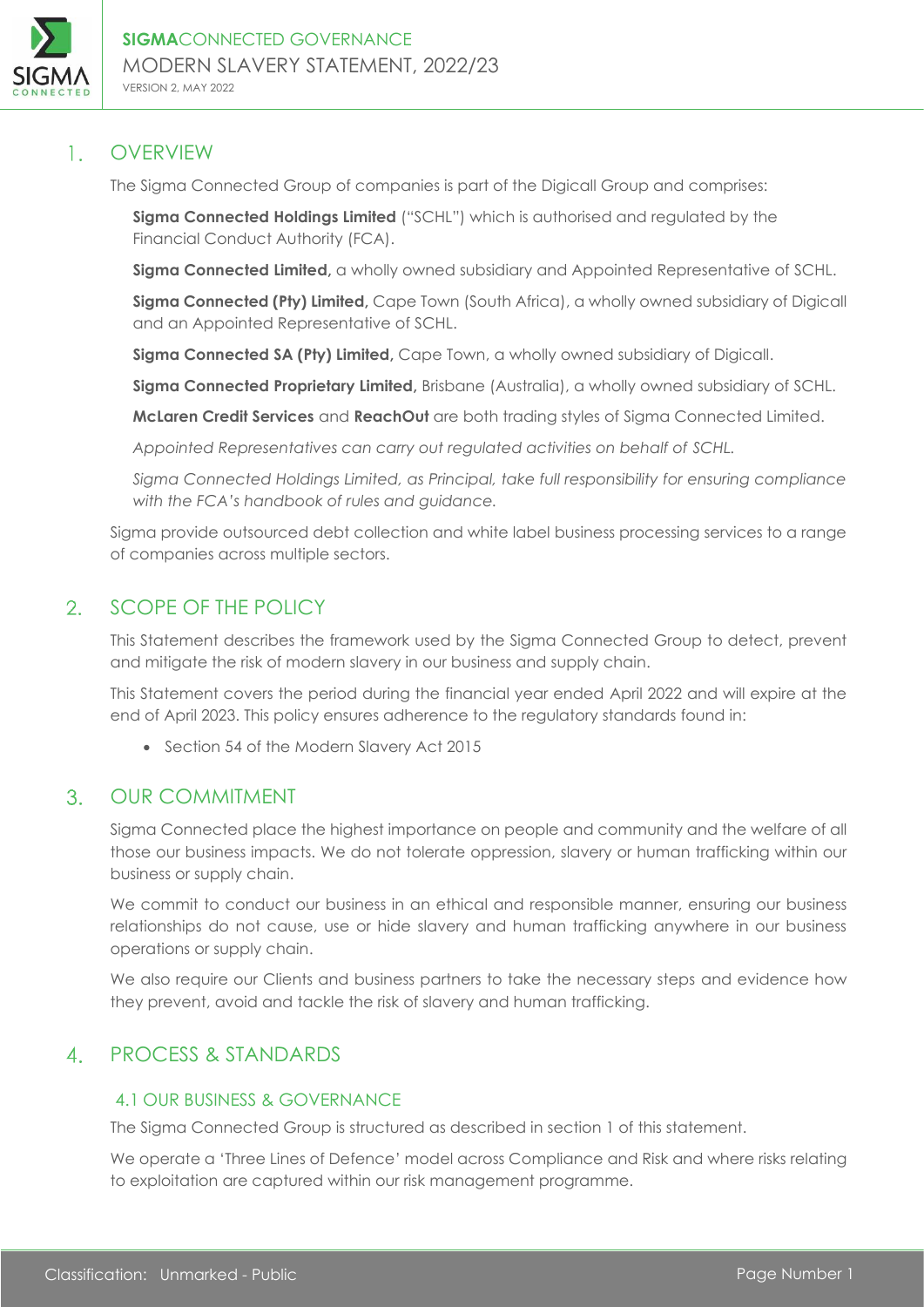

### $1.1$ OVERVIEW

The Sigma Connected Group of companies is part of the Digicall Group and comprises:

**Sigma Connected Holdings Limited** ("SCHL") which is authorised and regulated by the Financial Conduct Authority (FCA).

**Sigma Connected Limited,** a wholly owned subsidiary and Appointed Representative of SCHL.

**Sigma Connected (Pty) Limited,** Cape Town (South Africa), a wholly owned subsidiary of Digicall and an Appointed Representative of SCHL.

**Sigma Connected SA (Pty) Limited,** Cape Town, a wholly owned subsidiary of Digicall.

**Sigma Connected Proprietary Limited,** Brisbane (Australia), a wholly owned subsidiary of SCHL.

**McLaren Credit Services** and **ReachOut** are both trading styles of Sigma Connected Limited.

*Appointed Representatives can carry out regulated activities on behalf of SCHL.* 

*Sigma Connected Holdings Limited, as Principal, take full responsibility for ensuring compliance with the FCA's handbook of rules and guidance.*

Sigma provide outsourced debt collection and white label business processing services to a range of companies across multiple sectors.

### $2.$ SCOPE OF THE POLICY

This Statement describes the framework used by the Sigma Connected Group to detect, prevent and mitigate the risk of modern slavery in our business and supply chain.

This Statement covers the period during the financial year ended April 2022 and will expire at the end of April 2023. This policy ensures adherence to the regulatory standards found in:

• Section 54 of the Modern Slavery Act 2015

### $3<sub>1</sub>$ OUR COMMITMENT

Sigma Connected place the highest importance on people and community and the welfare of all those our business impacts. We do not tolerate oppression, slavery or human trafficking within our business or supply chain.

We commit to conduct our business in an ethical and responsible manner, ensuring our business relationships do not cause, use or hide slavery and human trafficking anywhere in our business operations or supply chain.

We also require our Clients and business partners to take the necessary steps and evidence how they prevent, avoid and tackle the risk of slavery and human trafficking.

### PROCESS & STANDARDS  $\overline{4}$

# 4.1 OUR BUSINESS & GOVERNANCE

The Sigma Connected Group is structured as described in section 1 of this statement.

We operate a 'Three Lines of Defence' model across Compliance and Risk and where risks relating to exploitation are captured within our risk management programme.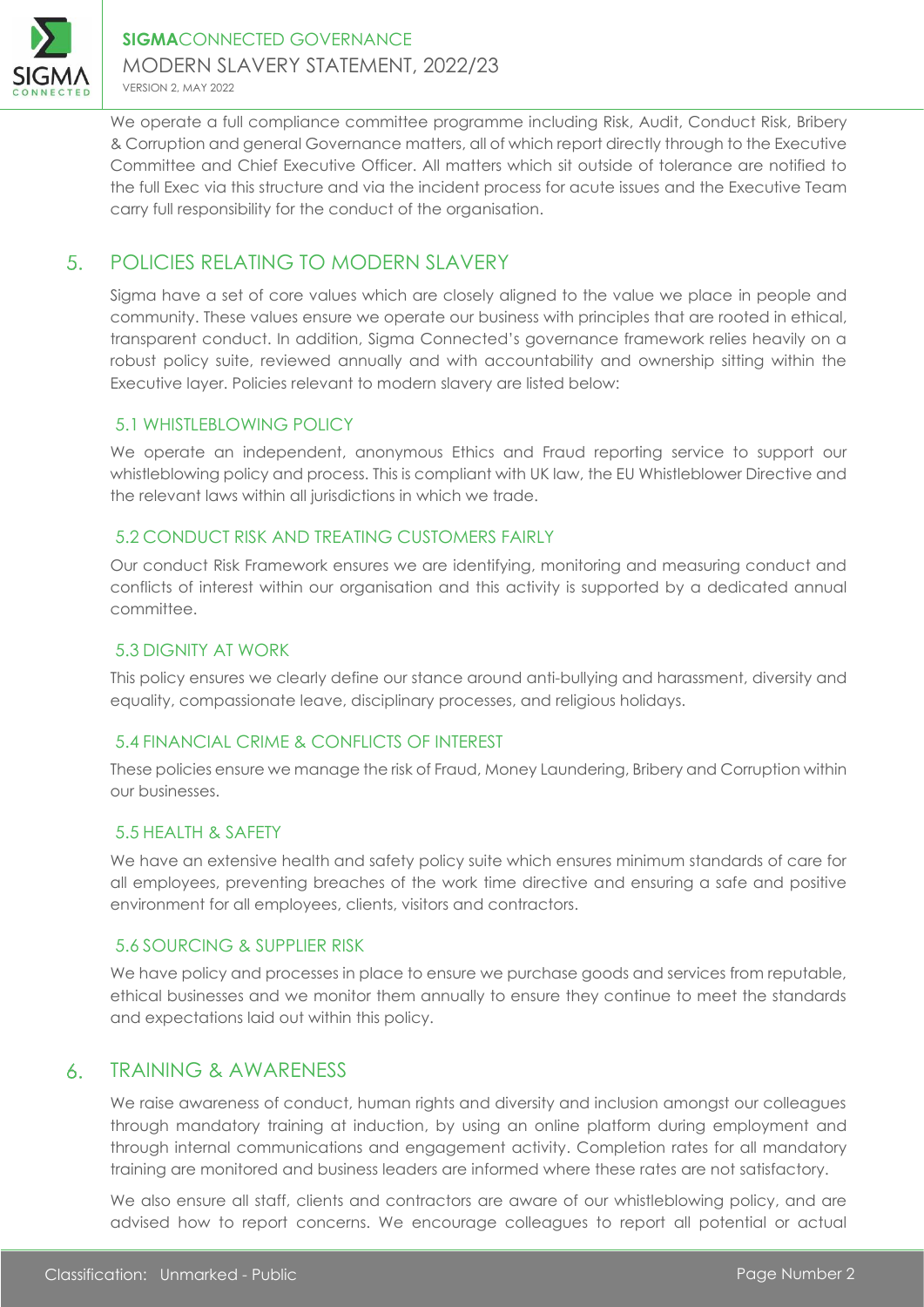

We operate a full compliance committee programme including Risk, Audit, Conduct Risk, Bribery & Corruption and general Governance matters, all of which report directly through to the Executive Committee and Chief Executive Officer. All matters which sit outside of tolerance are notified to the full Exec via this structure and via the incident process for acute issues and the Executive Team carry full responsibility for the conduct of the organisation.

### 5. POLICIES RELATING TO MODERN SLAVERY

Sigma have a set of core values which are closely aligned to the value we place in people and community. These values ensure we operate our business with principles that are rooted in ethical, transparent conduct. In addition, Sigma Connected's governance framework relies heavily on a robust policy suite, reviewed annually and with accountability and ownership sitting within the Executive layer. Policies relevant to modern slavery are listed below:

## 5.1 WHISTLEBLOWING POLICY

We operate an independent, anonymous Ethics and Fraud reporting service to support our whistleblowing policy and process. This is compliant with UK law, the EU Whistleblower Directive and the relevant laws within all jurisdictions in which we trade.

## 5.2 CONDUCT RISK AND TREATING CUSTOMERS FAIRLY

Our conduct Risk Framework ensures we are identifying, monitoring and measuring conduct and conflicts of interest within our organisation and this activity is supported by a dedicated annual committee.

### 5.3 DIGNITY AT WORK

This policy ensures we clearly define our stance around anti-bullying and harassment, diversity and equality, compassionate leave, disciplinary processes, and religious holidays.

## 5.4 FINANCIAL CRIME & CONFLICTS OF INTEREST

These policies ensure we manage the risk of Fraud, Money Laundering, Bribery and Corruption within our businesses.

## 5.5 HEALTH & SAFETY

We have an extensive health and safety policy suite which ensures minimum standards of care for all employees, preventing breaches of the work time directive and ensuring a safe and positive environment for all employees, clients, visitors and contractors.

### 5.6 SOURCING & SUPPLIER RISK

We have policy and processes in place to ensure we purchase goods and services from reputable, ethical businesses and we monitor them annually to ensure they continue to meet the standards and expectations laid out within this policy.

#### TRAINING & AWARENESS  $6<sub>1</sub>$

We raise awareness of conduct, human rights and diversity and inclusion amongst our colleagues through mandatory training at induction, by using an online platform during employment and through internal communications and engagement activity. Completion rates for all mandatory training are monitored and business leaders are informed where these rates are not satisfactory.

We also ensure all staff, clients and contractors are aware of our whistleblowing policy, and are advised how to report concerns. We encourage colleagues to report all potential or actual